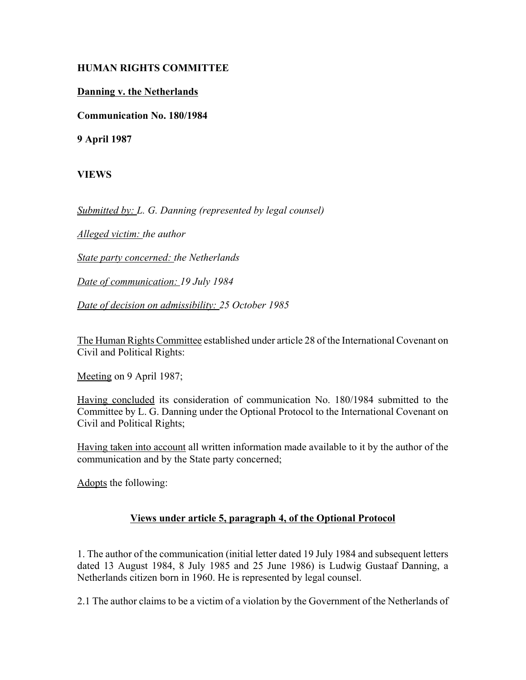## **HUMAN RIGHTS COMMITTEE**

# **Danning v. the Netherlands**

**Communication No. 180/1984**

**9 April 1987**

**VIEWS**

*Submitted by: L. G. Danning (represented by legal counsel)* 

*Alleged victim: the author* 

*State party concerned: the Netherlands* 

*Date of communication: 19 July 1984* 

*Date of decision on admissibility: 25 October 1985* 

The Human Rights Committee established under article 28 of the International Covenant on Civil and Political Rights:

Meeting on 9 April 1987;

Having concluded its consideration of communication No. 180/1984 submitted to the Committee by L. G. Danning under the Optional Protocol to the International Covenant on Civil and Political Rights;

Having taken into account all written information made available to it by the author of the communication and by the State party concerned;

Adopts the following:

## **Views under article 5, paragraph 4, of the Optional Protocol**

1. The author of the communication (initial letter dated 19 July 1984 and subsequent letters dated 13 August 1984, 8 July 1985 and 25 June 1986) is Ludwig Gustaaf Danning, a Netherlands citizen born in 1960. He is represented by legal counsel.

2.1 The author claims to be a victim of a violation by the Government of the Netherlands of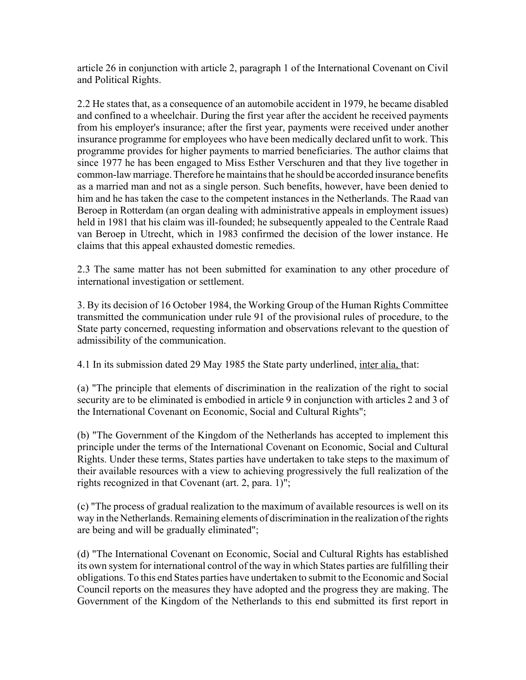article 26 in conjunction with article 2, paragraph 1 of the International Covenant on Civil and Political Rights.

2.2 He states that, as a consequence of an automobile accident in 1979, he became disabled and confined to a wheelchair. During the first year after the accident he received payments from his employer's insurance; after the first year, payments were received under another insurance programme for employees who have been medically declared unfit to work. This programme provides for higher payments to married beneficiaries. The author claims that since 1977 he has been engaged to Miss Esther Verschuren and that they live together in common-law marriage. Therefore he maintains that he should be accorded insurance benefits as a married man and not as a single person. Such benefits, however, have been denied to him and he has taken the case to the competent instances in the Netherlands. The Raad van Beroep in Rotterdam (an organ dealing with administrative appeals in employment issues) held in 1981 that his claim was ill-founded; he subsequently appealed to the Centrale Raad van Beroep in Utrecht, which in 1983 confirmed the decision of the lower instance. He claims that this appeal exhausted domestic remedies.

2.3 The same matter has not been submitted for examination to any other procedure of international investigation or settlement.

3. By its decision of 16 October 1984, the Working Group of the Human Rights Committee transmitted the communication under rule 91 of the provisional rules of procedure, to the State party concerned, requesting information and observations relevant to the question of admissibility of the communication.

4.1 In its submission dated 29 May 1985 the State party underlined, inter alia, that:

(a) "The principle that elements of discrimination in the realization of the right to social security are to be eliminated is embodied in article 9 in conjunction with articles 2 and 3 of the International Covenant on Economic, Social and Cultural Rights";

(b) "The Government of the Kingdom of the Netherlands has accepted to implement this principle under the terms of the International Covenant on Economic, Social and Cultural Rights. Under these terms, States parties have undertaken to take steps to the maximum of their available resources with a view to achieving progressively the full realization of the rights recognized in that Covenant (art. 2, para. 1)";

(c) "The process of gradual realization to the maximum of available resources is well on its way in the Netherlands. Remaining elements of discrimination in the realization of the rights are being and will be gradually eliminated";

(d) "The International Covenant on Economic, Social and Cultural Rights has established its own system for international control of the way in which States parties are fulfilling their obligations. To this end States parties have undertaken to submit to the Economic and Social Council reports on the measures they have adopted and the progress they are making. The Government of the Kingdom of the Netherlands to this end submitted its first report in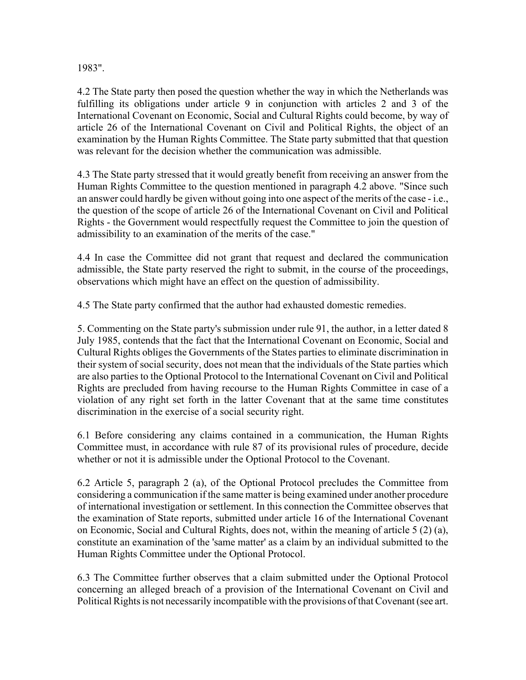#### 1983".

4.2 The State party then posed the question whether the way in which the Netherlands was fulfilling its obligations under article 9 in conjunction with articles 2 and 3 of the International Covenant on Economic, Social and Cultural Rights could become, by way of article 26 of the International Covenant on Civil and Political Rights, the object of an examination by the Human Rights Committee. The State party submitted that that question was relevant for the decision whether the communication was admissible.

4.3 The State party stressed that it would greatly benefit from receiving an answer from the Human Rights Committee to the question mentioned in paragraph 4.2 above. "Since such an answer could hardly be given without going into one aspect of the merits of the case - i.e., the question of the scope of article 26 of the International Covenant on Civil and Political Rights - the Government would respectfully request the Committee to join the question of admissibility to an examination of the merits of the case."

4.4 In case the Committee did not grant that request and declared the communication admissible, the State party reserved the right to submit, in the course of the proceedings, observations which might have an effect on the question of admissibility.

4.5 The State party confirmed that the author had exhausted domestic remedies.

5. Commenting on the State party's submission under rule 91, the author, in a letter dated 8 July 1985, contends that the fact that the International Covenant on Economic, Social and Cultural Rights obliges the Governments of the States parties to eliminate discrimination in their system of social security, does not mean that the individuals of the State parties which are also parties to the Optional Protocol to the International Covenant on Civil and Political Rights are precluded from having recourse to the Human Rights Committee in case of a violation of any right set forth in the latter Covenant that at the same time constitutes discrimination in the exercise of a social security right.

6.1 Before considering any claims contained in a communication, the Human Rights Committee must, in accordance with rule 87 of its provisional rules of procedure, decide whether or not it is admissible under the Optional Protocol to the Covenant.

6.2 Article 5, paragraph 2 (a), of the Optional Protocol precludes the Committee from considering a communication if the same matter is being examined under another procedure of international investigation or settlement. In this connection the Committee observes that the examination of State reports, submitted under article 16 of the International Covenant on Economic, Social and Cultural Rights, does not, within the meaning of article 5 (2) (a), constitute an examination of the 'same matter' as a claim by an individual submitted to the Human Rights Committee under the Optional Protocol.

6.3 The Committee further observes that a claim submitted under the Optional Protocol concerning an alleged breach of a provision of the International Covenant on Civil and Political Rights is not necessarily incompatible with the provisions of that Covenant (see art.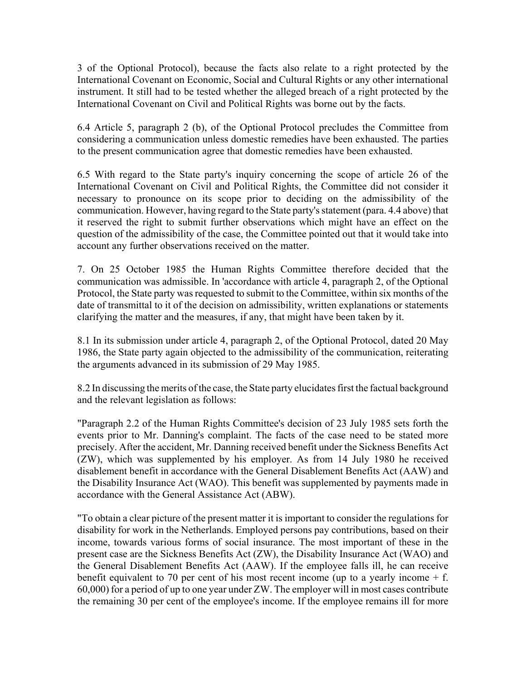3 of the Optional Protocol), because the facts also relate to a right protected by the International Covenant on Economic, Social and Cultural Rights or any other international instrument. It still had to be tested whether the alleged breach of a right protected by the International Covenant on Civil and Political Rights was borne out by the facts.

6.4 Article 5, paragraph 2 (b), of the Optional Protocol precludes the Committee from considering a communication unless domestic remedies have been exhausted. The parties to the present communication agree that domestic remedies have been exhausted.

6.5 With regard to the State party's inquiry concerning the scope of article 26 of the International Covenant on Civil and Political Rights, the Committee did not consider it necessary to pronounce on its scope prior to deciding on the admissibility of the communication. However, having regard to the State party's statement (para. 4.4 above) that it reserved the right to submit further observations which might have an effect on the question of the admissibility of the case, the Committee pointed out that it would take into account any further observations received on the matter.

7. On 25 October 1985 the Human Rights Committee therefore decided that the communication was admissible. In 'accordance with article 4, paragraph 2, of the Optional Protocol, the State party was requested to submit to the Committee, within six months of the date of transmittal to it of the decision on admissibility, written explanations or statements clarifying the matter and the measures, if any, that might have been taken by it.

8.1 In its submission under article 4, paragraph 2, of the Optional Protocol, dated 20 May 1986, the State party again objected to the admissibility of the communication, reiterating the arguments advanced in its submission of 29 May 1985.

8.2 In discussing the merits of the case, the State party elucidates first the factual background and the relevant legislation as follows:

"Paragraph 2.2 of the Human Rights Committee's decision of 23 July 1985 sets forth the events prior to Mr. Danning's complaint. The facts of the case need to be stated more precisely. After the accident, Mr. Danning received benefit under the Sickness Benefits Act (ZW), which was supplemented by his employer. As from 14 July 1980 he received disablement benefit in accordance with the General Disablement Benefits Act (AAW) and the Disability Insurance Act (WAO). This benefit was supplemented by payments made in accordance with the General Assistance Act (ABW).

"To obtain a clear picture of the present matter it is important to consider the regulations for disability for work in the Netherlands. Employed persons pay contributions, based on their income, towards various forms of social insurance. The most important of these in the present case are the Sickness Benefits Act (ZW), the Disability Insurance Act (WAO) and the General Disablement Benefits Act (AAW). If the employee falls ill, he can receive benefit equivalent to 70 per cent of his most recent income (up to a yearly income + f. 60,000) for a period of up to one year under ZW. The employer will in most cases contribute the remaining 30 per cent of the employee's income. If the employee remains ill for more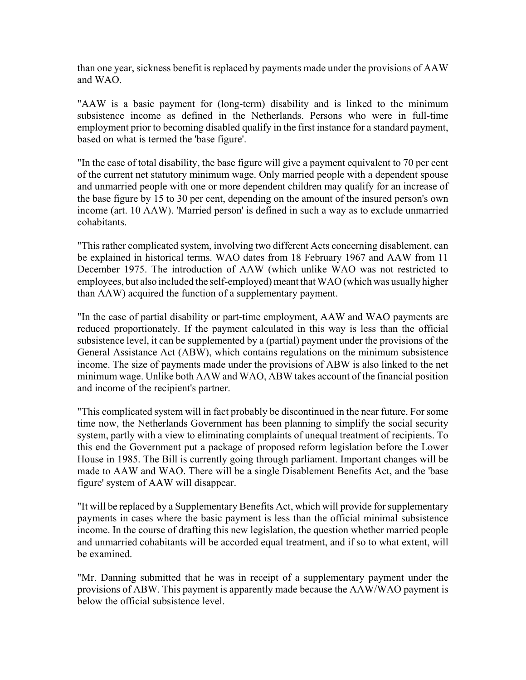than one year, sickness benefit is replaced by payments made under the provisions of AAW and WAO.

"AAW is a basic payment for (long-term) disability and is linked to the minimum subsistence income as defined in the Netherlands. Persons who were in full-time employment prior to becoming disabled qualify in the first instance for a standard payment, based on what is termed the 'base figure'.

"In the case of total disability, the base figure will give a payment equivalent to 70 per cent of the current net statutory minimum wage. Only married people with a dependent spouse and unmarried people with one or more dependent children may qualify for an increase of the base figure by 15 to 30 per cent, depending on the amount of the insured person's own income (art. 10 AAW). 'Married person' is defined in such a way as to exclude unmarried cohabitants.

"This rather complicated system, involving two different Acts concerning disablement, can be explained in historical terms. WAO dates from 18 February 1967 and AAW from 11 December 1975. The introduction of AAW (which unlike WAO was not restricted to employees, but also included the self-employed) meant that WAO (which was usually higher than AAW) acquired the function of a supplementary payment.

"In the case of partial disability or part-time employment, AAW and WAO payments are reduced proportionately. If the payment calculated in this way is less than the official subsistence level, it can be supplemented by a (partial) payment under the provisions of the General Assistance Act (ABW), which contains regulations on the minimum subsistence income. The size of payments made under the provisions of ABW is also linked to the net minimum wage. Unlike both AAW and WAO, ABW takes account of the financial position and income of the recipient's partner.

"This complicated system will in fact probably be discontinued in the near future. For some time now, the Netherlands Government has been planning to simplify the social security system, partly with a view to eliminating complaints of unequal treatment of recipients. To this end the Government put a package of proposed reform legislation before the Lower House in 1985. The Bill is currently going through parliament. Important changes will be made to AAW and WAO. There will be a single Disablement Benefits Act, and the 'base figure' system of AAW will disappear.

"It will be replaced by a Supplementary Benefits Act, which will provide for supplementary payments in cases where the basic payment is less than the official minimal subsistence income. In the course of drafting this new legislation, the question whether married people and unmarried cohabitants will be accorded equal treatment, and if so to what extent, will be examined.

"Mr. Danning submitted that he was in receipt of a supplementary payment under the provisions of ABW. This payment is apparently made because the AAW/WAO payment is below the official subsistence level.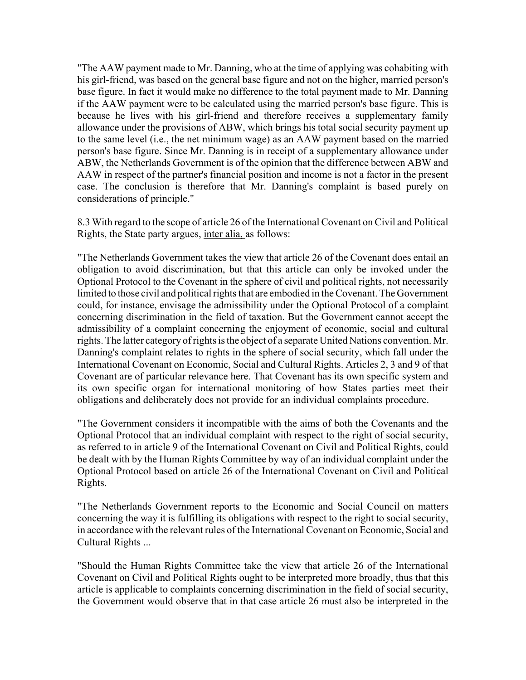"The AAW payment made to Mr. Danning, who at the time of applying was cohabiting with his girl-friend, was based on the general base figure and not on the higher, married person's base figure. In fact it would make no difference to the total payment made to Mr. Danning if the AAW payment were to be calculated using the married person's base figure. This is because he lives with his girl-friend and therefore receives a supplementary family allowance under the provisions of ABW, which brings his total social security payment up to the same level (i.e., the net minimum wage) as an AAW payment based on the married person's base figure. Since Mr. Danning is in receipt of a supplementary allowance under ABW, the Netherlands Government is of the opinion that the difference between ABW and AAW in respect of the partner's financial position and income is not a factor in the present case. The conclusion is therefore that Mr. Danning's complaint is based purely on considerations of principle."

8.3 With regard to the scope of article 26 of the International Covenant on Civil and Political Rights, the State party argues, inter alia, as follows:

"The Netherlands Government takes the view that article 26 of the Covenant does entail an obligation to avoid discrimination, but that this article can only be invoked under the Optional Protocol to the Covenant in the sphere of civil and political rights, not necessarily limited to those civil and political rights that are embodied in the Covenant. The Government could, for instance, envisage the admissibility under the Optional Protocol of a complaint concerning discrimination in the field of taxation. But the Government cannot accept the admissibility of a complaint concerning the enjoyment of economic, social and cultural rights. The latter category of rights is the object of a separate United Nations convention. Mr. Danning's complaint relates to rights in the sphere of social security, which fall under the International Covenant on Economic, Social and Cultural Rights. Articles 2, 3 and 9 of that Covenant are of particular relevance here. That Covenant has its own specific system and its own specific organ for international monitoring of how States parties meet their obligations and deliberately does not provide for an individual complaints procedure.

"The Government considers it incompatible with the aims of both the Covenants and the Optional Protocol that an individual complaint with respect to the right of social security, as referred to in article 9 of the International Covenant on Civil and Political Rights, could be dealt with by the Human Rights Committee by way of an individual complaint under the Optional Protocol based on article 26 of the International Covenant on Civil and Political Rights.

"The Netherlands Government reports to the Economic and Social Council on matters concerning the way it is fulfilling its obligations with respect to the right to social security, in accordance with the relevant rules of the International Covenant on Economic, Social and Cultural Rights ...

"Should the Human Rights Committee take the view that article 26 of the International Covenant on Civil and Political Rights ought to be interpreted more broadly, thus that this article is applicable to complaints concerning discrimination in the field of social security, the Government would observe that in that case article 26 must also be interpreted in the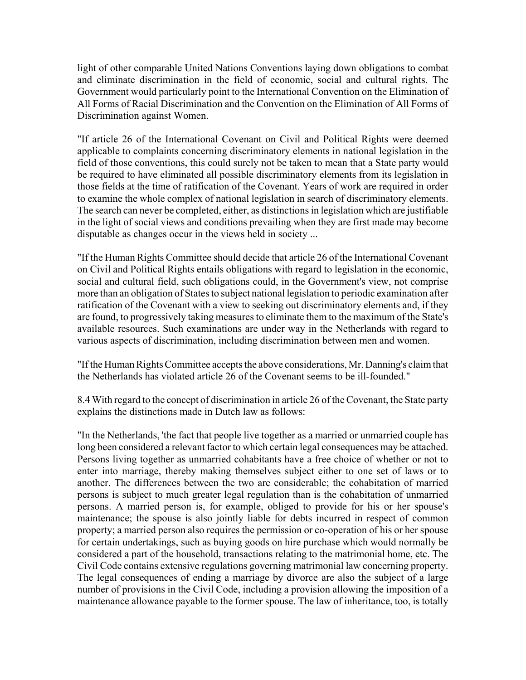light of other comparable United Nations Conventions laying down obligations to combat and eliminate discrimination in the field of economic, social and cultural rights. The Government would particularly point to the International Convention on the Elimination of All Forms of Racial Discrimination and the Convention on the Elimination of All Forms of Discrimination against Women.

"If article 26 of the International Covenant on Civil and Political Rights were deemed applicable to complaints concerning discriminatory elements in national legislation in the field of those conventions, this could surely not be taken to mean that a State party would be required to have eliminated all possible discriminatory elements from its legislation in those fields at the time of ratification of the Covenant. Years of work are required in order to examine the whole complex of national legislation in search of discriminatory elements. The search can never be completed, either, as distinctions in legislation which are justifiable in the light of social views and conditions prevailing when they are first made may become disputable as changes occur in the views held in society ...

"If the Human Rights Committee should decide that article 26 of the International Covenant on Civil and Political Rights entails obligations with regard to legislation in the economic, social and cultural field, such obligations could, in the Government's view, not comprise more than an obligation of States to subject national legislation to periodic examination after ratification of the Covenant with a view to seeking out discriminatory elements and, if they are found, to progressively taking measures to eliminate them to the maximum of the State's available resources. Such examinations are under way in the Netherlands with regard to various aspects of discrimination, including discrimination between men and women.

"If the Human Rights Committee accepts the above considerations, Mr. Danning's claim that the Netherlands has violated article 26 of the Covenant seems to be ill-founded."

8.4 With regard to the concept of discrimination in article 26 of the Covenant, the State party explains the distinctions made in Dutch law as follows:

"In the Netherlands, 'the fact that people live together as a married or unmarried couple has long been considered a relevant factor to which certain legal consequences may be attached. Persons living together as unmarried cohabitants have a free choice of whether or not to enter into marriage, thereby making themselves subject either to one set of laws or to another. The differences between the two are considerable; the cohabitation of married persons is subject to much greater legal regulation than is the cohabitation of unmarried persons. A married person is, for example, obliged to provide for his or her spouse's maintenance; the spouse is also jointly liable for debts incurred in respect of common property; a married person also requires the permission or co-operation of his or her spouse for certain undertakings, such as buying goods on hire purchase which would normally be considered a part of the household, transactions relating to the matrimonial home, etc. The Civil Code contains extensive regulations governing matrimonial law concerning property. The legal consequences of ending a marriage by divorce are also the subject of a large number of provisions in the Civil Code, including a provision allowing the imposition of a maintenance allowance payable to the former spouse. The law of inheritance, too, is totally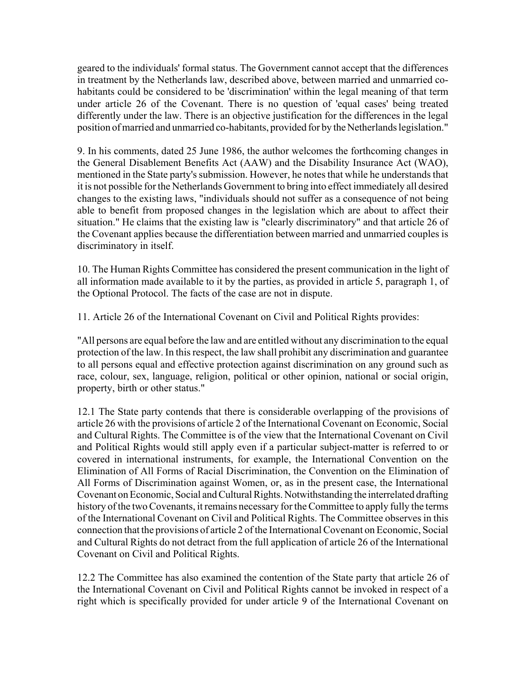geared to the individuals' formal status. The Government cannot accept that the differences in treatment by the Netherlands law, described above, between married and unmarried cohabitants could be considered to be 'discrimination' within the legal meaning of that term under article 26 of the Covenant. There is no question of 'equal cases' being treated differently under the law. There is an objective justification for the differences in the legal position of married and unmarried co-habitants, provided for by the Netherlands legislation."

9. In his comments, dated 25 June 1986, the author welcomes the forthcoming changes in the General Disablement Benefits Act (AAW) and the Disability Insurance Act (WAO), mentioned in the State party's submission. However, he notes that while he understands that it is not possible for the Netherlands Government to bring into effect immediately all desired changes to the existing laws, "individuals should not suffer as a consequence of not being able to benefit from proposed changes in the legislation which are about to affect their situation." He claims that the existing law is "clearly discriminatory" and that article 26 of the Covenant applies because the differentiation between married and unmarried couples is discriminatory in itself.

10. The Human Rights Committee has considered the present communication in the light of all information made available to it by the parties, as provided in article 5, paragraph 1, of the Optional Protocol. The facts of the case are not in dispute.

11. Article 26 of the International Covenant on Civil and Political Rights provides:

"All persons are equal before the law and are entitled without any discrimination to the equal protection of the law. In this respect, the law shall prohibit any discrimination and guarantee to all persons equal and effective protection against discrimination on any ground such as race, colour, sex, language, religion, political or other opinion, national or social origin, property, birth or other status."

12.1 The State party contends that there is considerable overlapping of the provisions of article 26 with the provisions of article 2 of the International Covenant on Economic, Social and Cultural Rights. The Committee is of the view that the International Covenant on Civil and Political Rights would still apply even if a particular subject-matter is referred to or covered in international instruments, for example, the International Convention on the Elimination of All Forms of Racial Discrimination, the Convention on the Elimination of All Forms of Discrimination against Women, or, as in the present case, the International Covenant on Economic, Social and Cultural Rights. Notwithstanding the interrelated drafting history of the two Covenants, it remains necessary for the Committee to apply fully the terms of the International Covenant on Civil and Political Rights. The Committee observes in this connection that the provisions of article 2 of the International Covenant on Economic, Social and Cultural Rights do not detract from the full application of article 26 of the International Covenant on Civil and Political Rights.

12.2 The Committee has also examined the contention of the State party that article 26 of the International Covenant on Civil and Political Rights cannot be invoked in respect of a right which is specifically provided for under article 9 of the International Covenant on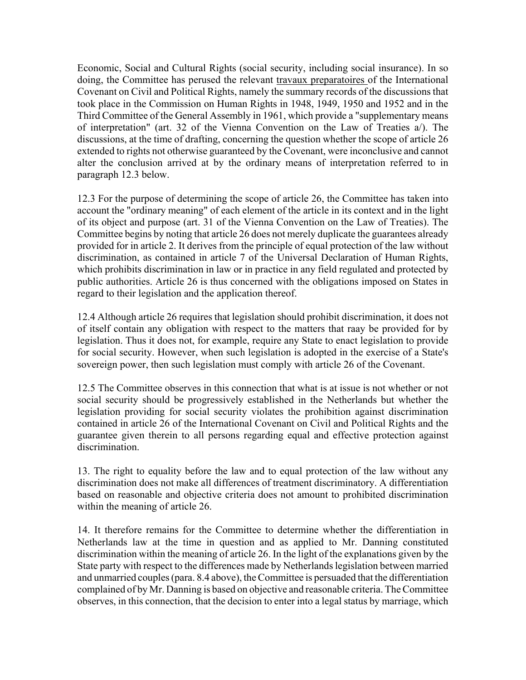Economic, Social and Cultural Rights (social security, including social insurance). In so doing, the Committee has perused the relevant travaux preparatoires of the International Covenant on Civil and Political Rights, namely the summary records of the discussions that took place in the Commission on Human Rights in 1948, 1949, 1950 and 1952 and in the Third Committee of the General Assembly in 1961, which provide a "supplementary means of interpretation" (art. 32 of the Vienna Convention on the Law of Treaties a/). The discussions, at the time of drafting, concerning the question whether the scope of article 26 extended to rights not otherwise guaranteed by the Covenant, were inconclusive and cannot alter the conclusion arrived at by the ordinary means of interpretation referred to in paragraph 12.3 below.

12.3 For the purpose of determining the scope of article 26, the Committee has taken into account the "ordinary meaning" of each element of the article in its context and in the light of its object and purpose (art. 31 of the Vienna Convention on the Law of Treaties). The Committee begins by noting that article 26 does not merely duplicate the guarantees already provided for in article 2. It derives from the principle of equal protection of the law without discrimination, as contained in article 7 of the Universal Declaration of Human Rights, which prohibits discrimination in law or in practice in any field regulated and protected by public authorities. Article 26 is thus concerned with the obligations imposed on States in regard to their legislation and the application thereof.

12.4 Although article 26 requires that legislation should prohibit discrimination, it does not of itself contain any obligation with respect to the matters that raay be provided for by legislation. Thus it does not, for example, require any State to enact legislation to provide for social security. However, when such legislation is adopted in the exercise of a State's sovereign power, then such legislation must comply with article 26 of the Covenant.

12.5 The Committee observes in this connection that what is at issue is not whether or not social security should be progressively established in the Netherlands but whether the legislation providing for social security violates the prohibition against discrimination contained in article 26 of the International Covenant on Civil and Political Rights and the guarantee given therein to all persons regarding equal and effective protection against discrimination.

13. The right to equality before the law and to equal protection of the law without any discrimination does not make all differences of treatment discriminatory. A differentiation based on reasonable and objective criteria does not amount to prohibited discrimination within the meaning of article 26.

14. It therefore remains for the Committee to determine whether the differentiation in Netherlands law at the time in question and as applied to Mr. Danning constituted discrimination within the meaning of article 26. In the light of the explanations given by the State party with respect to the differences made by Netherlands legislation between married and unmarried couples (para. 8.4 above), the Committee is persuaded that the differentiation complained of by Mr. Danning is based on objective and reasonable criteria. The Committee observes, in this connection, that the decision to enter into a legal status by marriage, which